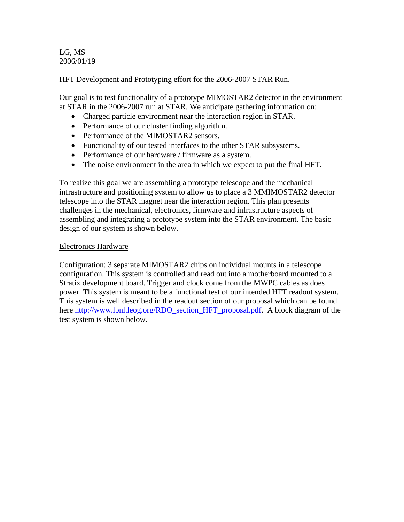LG, MS 2006/01/19

HFT Development and Prototyping effort for the 2006-2007 STAR Run.

Our goal is to test functionality of a prototype MIMOSTAR2 detector in the environment at STAR in the 2006-2007 run at STAR. We anticipate gathering information on:

- Charged particle environment near the interaction region in STAR.
- Performance of our cluster finding algorithm.
- Performance of the MIMOSTAR2 sensors.
- Functionality of our tested interfaces to the other STAR subsystems.
- Performance of our hardware / firmware as a system.
- The noise environment in the area in which we expect to put the final HFT.

To realize this goal we are assembling a prototype telescope and the mechanical infrastructure and positioning system to allow us to place a 3 MMIMOSTAR2 detector telescope into the STAR magnet near the interaction region. This plan presents challenges in the mechanical, electronics, firmware and infrastructure aspects of assembling and integrating a prototype system into the STAR environment. The basic design of our system is shown below.

#### Electronics Hardware

Configuration: 3 separate MIMOSTAR2 chips on individual mounts in a telescope configuration. This system is controlled and read out into a motherboard mounted to a Stratix development board. Trigger and clock come from the MWPC cables as does power. This system is meant to be a functional test of our intended HFT readout system. This system is well described in the readout section of our proposal which can be found here http://www.lbnl.leog.org/RDO\_section\_HFT\_proposal.pdf. A block diagram of the test system is shown below.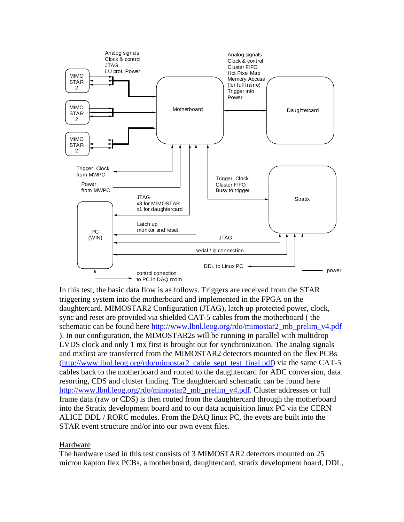

In this test, the basic data flow is as follows. Triggers are received from the STAR triggering system into the motherboard and implemented in the FPGA on the daughtercard. MIMOSTAR2 Configuration (JTAG), latch up protected power, clock, sync and reset are provided via shielded CAT-5 cables from the motherboard ( the schematic can be found here http://www.lbnl.leog.org/rdo/mimostar2\_mb\_prelim\_v4.pdf ). In our configuration, the MIMOSTAR2s will be running in parallel with multidrop LVDS clock and only 1 mx first is brought out for synchronization. The analog signals and mxfirst are transferred from the MIMOSTAR2 detectors mounted on the flex PCBs (http://www.lbnl.leog.org/rdo/mimostar2\_cable\_sept\_test\_final.pdf) via the same CAT-5 cables back to the motherboard and routed to the daughtercard for ADC conversion, data resorting, CDS and cluster finding. The daughtercard schematic can be found here http://www.lbnl.leog.org/rdo/mimostar2\_mb\_prelim\_v4.pdf. Cluster addresses or full frame data (raw or CDS) is then routed from the daughtercard through the motherboard into the Stratix development board and to our data acquisition linux PC via the CERN ALICE DDL / RORC modules. From the DAQ linux PC, the evets are built into the STAR event structure and/or into our own event files.

#### Hardware

The hardware used in this test consists of 3 MIMOSTAR2 detectors mounted on 25 micron kapton flex PCBs, a motherboard, daughtercard, stratix development board, DDL,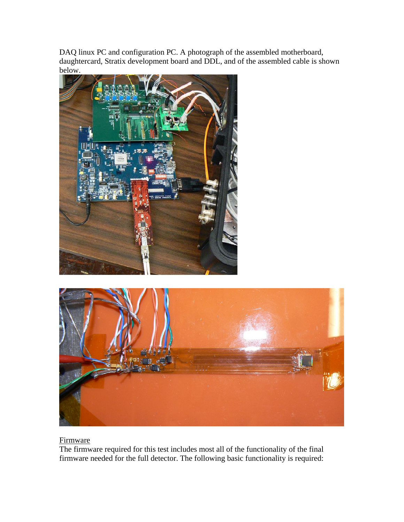DAQ linux PC and configuration PC. A photograph of the assembled motherboard, daughtercard, Stratix development board and DDL, and of the assembled cable is shown below.



# **Firmware**

The firmware required for this test includes most all of the functionality of the final firmware needed for the full detector. The following basic functionality is required: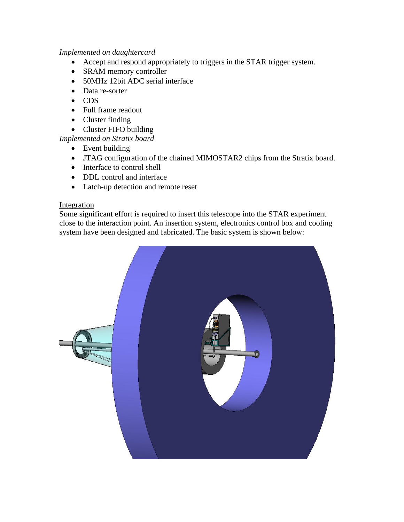### *Implemented on daughtercard*

- Accept and respond appropriately to triggers in the STAR trigger system.
- SRAM memory controller
- 50MHz 12bit ADC serial interface
- Data re-sorter
- CDS
- Full frame readout
- Cluster finding
- Cluster FIFO building

# *Implemented on Stratix board*

- Event building
- JTAG configuration of the chained MIMOSTAR2 chips from the Stratix board.
- Interface to control shell
- DDL control and interface
- Latch-up detection and remote reset

# **Integration**

Some significant effort is required to insert this telescope into the STAR experiment close to the interaction point. An insertion system, electronics control box and cooling system have been designed and fabricated. The basic system is shown below: